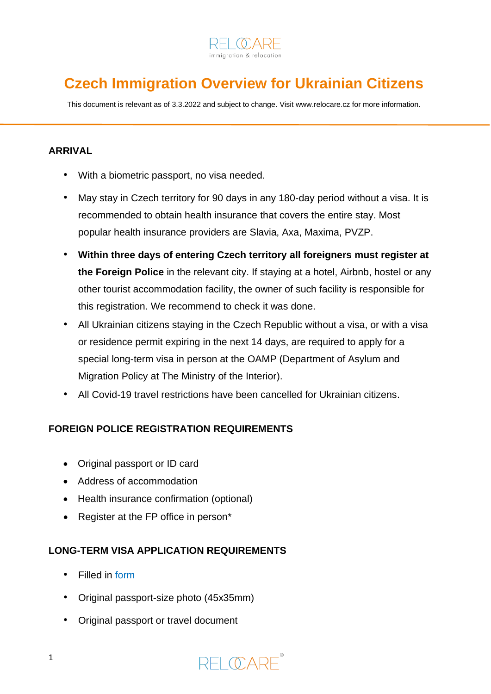

# **Czech Immigration Overview for Ukrainian Citizens**

This document is relevant as of 3.3.2022 and subject to change. Visi[t www.relocare.cz](http://www.relocare.cz/) for more information.

## **ARRIVAL**

- With a biometric passport, no visa needed.
- May stay in Czech territory for 90 days in any 180-day period without a visa. It is recommended to obtain health insurance that covers the entire stay. Most popular health insurance providers are Slavia, Axa, Maxima, PVZP.
- **Within three days of entering Czech territory all foreigners must register at the Foreign Police** in the relevant city. If staying at a hotel, Airbnb, hostel or any other tourist accommodation facility, the owner of such facility is responsible for this registration. We recommend to check it was done.
- All Ukrainian citizens staying in the Czech Republic without a visa, or with a visa or residence permit expiring in the next 14 days, are required to apply for a special long-term visa in person at the OAMP (Department of Asylum and Migration Policy at The Ministry of the Interior).
- All Covid-19 travel restrictions have been cancelled for Ukrainian citizens.

## **FOREIGN POLICE REGISTRATION REQUIREMENTS**

- Original passport or ID card
- Address of accommodation
- Health insurance confirmation (optional)
- Register at the FP office in person\*

### **LONG-TERM VISA APPLICATION REQUIREMENTS**

- Filled in [form](https://www.mvcr.cz/soubor/oranzove-pdf.aspx)
- Original passport-size photo (45x35mm)
- Original passport or travel document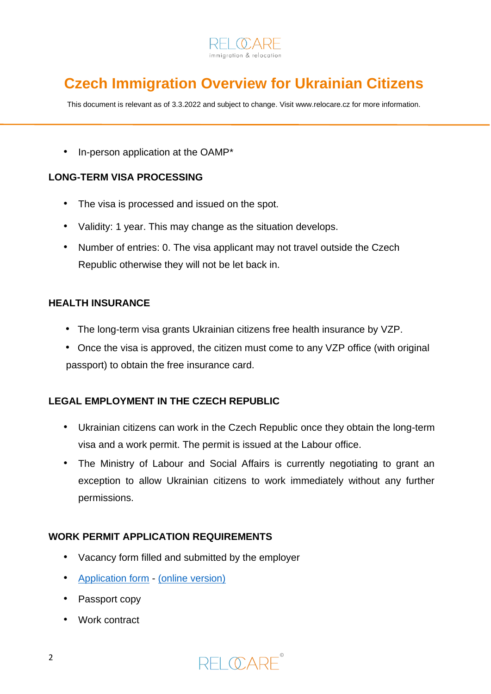

# **Czech Immigration Overview for Ukrainian Citizens**

This document is relevant as of 3.3.2022 and subject to change. Visi[t www.relocare.cz](http://www.relocare.cz/) for more information.

• In-person application at the OAMP\*

### **LONG-TERM VISA PROCESSING**

- The visa is processed and issued on the spot.
- Validity: 1 year. This may change as the situation develops.
- Number of entries: 0. The visa applicant may not travel outside the Czech Republic otherwise they will not be let back in.

### **HEALTH INSURANCE**

- The long-term visa grants Ukrainian citizens free health insurance by VZP.
- Once the visa is approved, the citizen must come to any VZP office (with original passport) to obtain the free insurance card.

## **LEGAL EMPLOYMENT IN THE CZECH REPUBLIC**

- Ukrainian citizens can work in the Czech Republic once they obtain the long-term visa and a work permit. The permit is issued at the Labour office.
- The Ministry of Labour and Social Affairs is currently negotiating to grant an exception to allow Ukrainian citizens to work immediately without any further permissions.

## **WORK PERMIT APPLICATION REQUIREMENTS**

- Vacancy form filled and submitted by the employer
- [Application form](https://www.mpsv.cz/documents/20142/129726/Zadost-o-vydani-nebo-prodlouzeni-povoleni-k-zamestnani.pdf/a2759413-9b92-952c-241b-2d9fcb94296e) [\(online version\)](https://www.mpsv.cz/fas/formservice/filler.open?DocID=1501965850)
- Passport copy
- Work contract